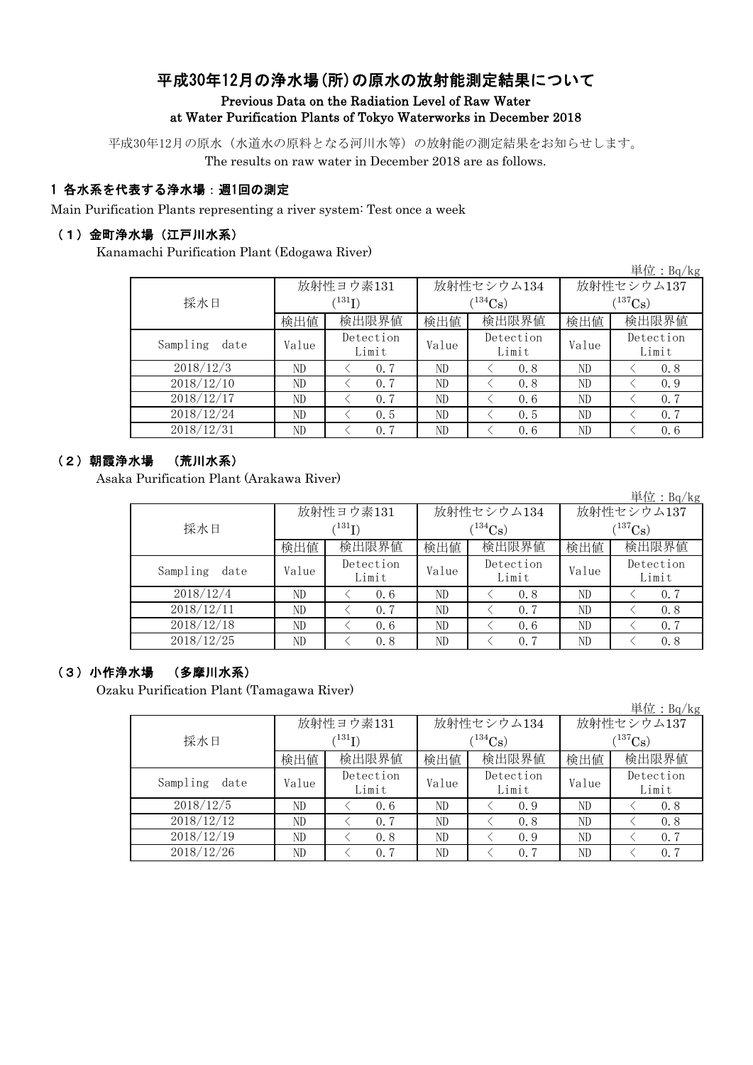# 平成30年12月の浄水場(所)の原水の放射能測定結果について

#### Previous Data on the Radiation Level of Raw Water at Water Purification Plants of Tokyo Waterworks in December 2018

平成30年12月の原水(水道水の原料となる河川水等)の放射能の測定結果をお知らせします。 The results on raw water in December 2018 are as follows.

### 1 各水系を代表する浄水場:週1回の測定

Main Purification Plants representing a river system: Test once a week

#### (1)金町浄水場(江戸川水系)

Kanamachi Purification Plant (Edogawa River)

|                  |       |                            |       |                    |              | 単位: Bq/kg          |  |
|------------------|-------|----------------------------|-------|--------------------|--------------|--------------------|--|
|                  |       | 放射性ヨウ素131                  |       | 放射性セシウム134         | 放射性セシウム137   |                    |  |
| 採水日              |       | $^{\prime131} \mathrm{I})$ |       | $(134)$ Cs         | $(^{137}Cs)$ |                    |  |
|                  | 検出値   | 検出限界値                      | 検出値   | 検出限界値              | 検出値          | 検出限界値              |  |
| Sampling<br>date | Value | Detection<br>Limit         | Value | Detection<br>Limit | Value        | Detection<br>Limit |  |
| 2018/12/3        | ND    | 0.7                        | ND    | 0.8                | ND           | 0.8                |  |
| 2018/12/10       | ND    | 0.7                        | ND    | 0.8                | ND           | 0.9                |  |
| 2018/12/17       | ND    | 0.7                        | ND    | 0.6                | ND           | 0.7                |  |
| 2018/12/24       | ND    | 0.5                        | ND    | 0.5                | ND           | 0.7                |  |
| 2018/12/31       | ND    | 0.7                        | ND    | 0.6                | ND           | 0.6                |  |

### (2)朝霞浄水場 (荒川水系)

Asaka Purification Plant (Arakawa River)

|                  |       |                    |       |                    |              | 単位 : Bq/kg         |  |
|------------------|-------|--------------------|-------|--------------------|--------------|--------------------|--|
|                  |       | 放射性ヨウ素131          |       | 放射性セシウム134         | 放射性セシウム137   |                    |  |
| 採水日              |       | $^{(131)}I)$       |       | $(134)$ Cs         | $(^{137}Cs)$ |                    |  |
|                  | 検出値   | 検出限界値              | 検出値   | 検出限界値              | 検出値          | 検出限界値              |  |
| Sampling<br>date | Value | Detection<br>Limit | Value | Detection<br>Limit | Value        | Detection<br>Limit |  |
| 2018/12/4        | ND    | 0.6                | ND    | 0.8                | ND           | 0.7                |  |
| 2018/12/11       | ND    | 0.7                | ND    | 0.7                | ND           | 0.8                |  |
| 2018/12/18       | ND    | 0.6                | ND    | 0.6                | ND           | 0.7                |  |
| 2018/12/25       | ND    | 0.8                | ND    | 0.7                | ND           | 0.8                |  |

#### (3)小作浄水場 (多摩川水系)

Ozaku Purification Plant (Tamagawa River)

|                  |       |                          |       |            |            | 単位: $Bq/kg$ |  |
|------------------|-------|--------------------------|-------|------------|------------|-------------|--|
|                  |       | 放射性ヨウ素131                |       | 放射性セシウム134 | 放射性セシウム137 |             |  |
| 採水日              |       | $^{\prime\,131}{\rm I})$ |       | $134C_s$   | $137C_8$ ) |             |  |
|                  | 検出値   | 検出限界値                    | 検出値   | 検出限界値      | 検出値        | 検出限界値       |  |
| Sampling<br>date | Value | Detection                | Value | Detection  | Value      | Detection   |  |
|                  |       | Limit                    |       | Limit      |            | Limit       |  |
| 2018/12/5        | ND    | 0.6                      | ND    | 0.9        | ND         | 0.8         |  |
| 2018/12/12       | ND    | 0.7                      | ND    | 0.8        | ND         | 0.8         |  |
| 2018/12/19       | ND    | 0.8                      | ND    | 0.9        | ND         | 0.7         |  |
| 2018/12/26       | ND    | 0.7                      | ND    | 0.7        | ND         | 0.7         |  |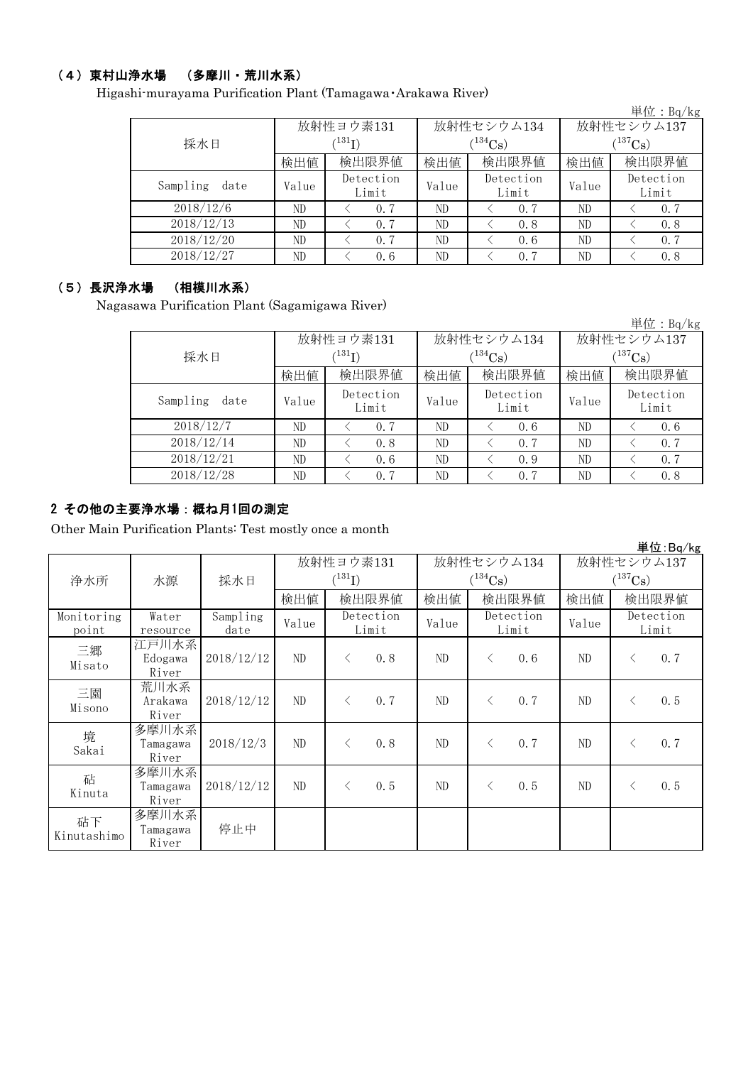## (4)東村山浄水場 (多摩川・荒川水系)

Higashi-murayama Purification Plant (Tamagawa・Arakawa River)

|                         |       |                    |       |                    |              | 単位: $Bq/kg$        |  |
|-------------------------|-------|--------------------|-------|--------------------|--------------|--------------------|--|
|                         |       | 放射性ヨウ素131          |       | 放射性セシウム134         | 放射性セシウム137   |                    |  |
| 採水日                     |       | $^{131}$ I)        |       | $(134)$ Cs)        | $(^{137}Cs)$ |                    |  |
|                         | 検出値   | 検出限界値              | 検出値   | 検出限界値              | 検出値          | 検出限界値              |  |
| Sampling<br>date        | Value | Detection<br>Limit | Value | Detection<br>Limit | Value        | Detection<br>Limit |  |
| 2018/12/6               | ND    | 0.7                | ND    | 0.7                | ND           | 0.7                |  |
| $2018/\overline{12/13}$ | ND    | 0.7                | ND    | 0.8                | ND           | 0.8                |  |
| 2018/12/20              | ND    | 0.7                | ND    | 0, 6               | ND           | 0.7                |  |
| 2018/12/27              | ND    | 0.6                | ND    | 0.7                | ND           | 0.8                |  |

### (5)長沢浄水場 (相模川水系)

Nagasawa Purification Plant (Sagamigawa River)

|                  |       |                            |       |                    |                       | 単位: $Bq/kg$        |  |
|------------------|-------|----------------------------|-------|--------------------|-----------------------|--------------------|--|
|                  |       | 放射性ヨウ素131                  |       | 放射性セシウム134         | 放射性セシウム137            |                    |  |
| 採水日              |       | $^{\prime131} \mathrm{I})$ |       | $(134)$ Cs         | $(^{137}\mathrm{Cs})$ |                    |  |
|                  | 検出値   | 検出限界値                      | 検出値   | 検出限界値              | 検出値                   | 検出限界値              |  |
| Sampling<br>date | Value | Detection<br>Limit         | Value | Detection<br>Limit | Value                 | Detection<br>Limit |  |
| 2018/12/7        | ND    | 0.7                        | ND    | 0.6                | ND                    | 0.6                |  |
| 2018/12/14       | ND    | 0.8                        | ND    | 0.7                | ND                    | 0.7                |  |
| 2018/12/21       | ND    | 0.6                        | ND    | 0.9                | ND                    | 0.7                |  |
| 2018/12/28       | ND    | 0.7                        | ND    | 0.7                | ND                    | 0.8                |  |

### 2 その他の主要浄水場:概ね月1回の測定

Other Main Purification Plants: Test mostly once a month

|                     |                            |                  |           |             |                    |     |                    |            |       |                       | 単位:Bg/kg           |
|---------------------|----------------------------|------------------|-----------|-------------|--------------------|-----|--------------------|------------|-------|-----------------------|--------------------|
|                     |                            |                  | 放射性ヨウ素131 |             | 放射性セシウム134         |     |                    | 放射性セシウム137 |       |                       |                    |
| 浄水所                 | 水源                         | 採水日              |           | $(^{131}I)$ |                    |     | $(^{134}Cs)$       |            |       | $(^{137}\mathrm{Cs})$ |                    |
|                     |                            |                  | 検出値       |             | 検出限界値              | 検出値 |                    | 検出限界値      | 検出値   |                       | 検出限界値              |
| Monitoring<br>point | Water<br>resource          | Sampling<br>date | Value     |             | Detection<br>Limit |     | Detection<br>Limit |            | Value |                       | Detection<br>Limit |
| 三郷<br>Misato        | 江戸川水系<br>Edogawa<br>River  | 2018/12/12       | ND        | $\langle$   | 0.8                | ND  | $\lt$              | 0, 6       | ND    | $\langle$             | 0.7                |
| 三園<br>Misono        | 荒川水系<br>Arakawa<br>River   | 2018/12/12       | ND        | $\langle$   | 0.7                | ND  | $\langle$          | 0.7        | ND    | $\lt$                 | 0.5                |
| 境<br>Sakai          | 多摩川水系<br>Tamagawa<br>River | 2018/12/3        | ND        | $\langle$   | 0.8                | ND  | $\langle$          | 0, 7       | ND    | $\lt$                 | 0.7                |
| 砧<br>Kinuta         | 多摩川水系<br>Tamagawa<br>River | 2018/12/12       | ND        | $\langle$   | 0.5                | ND  | $\lt$              | 0.5        | ND    | $\lt$                 | 0.5                |
| 砧下<br>Kinutashimo   | 多摩川水系<br>Tamagawa<br>River | 停止中              |           |             |                    |     |                    |            |       |                       |                    |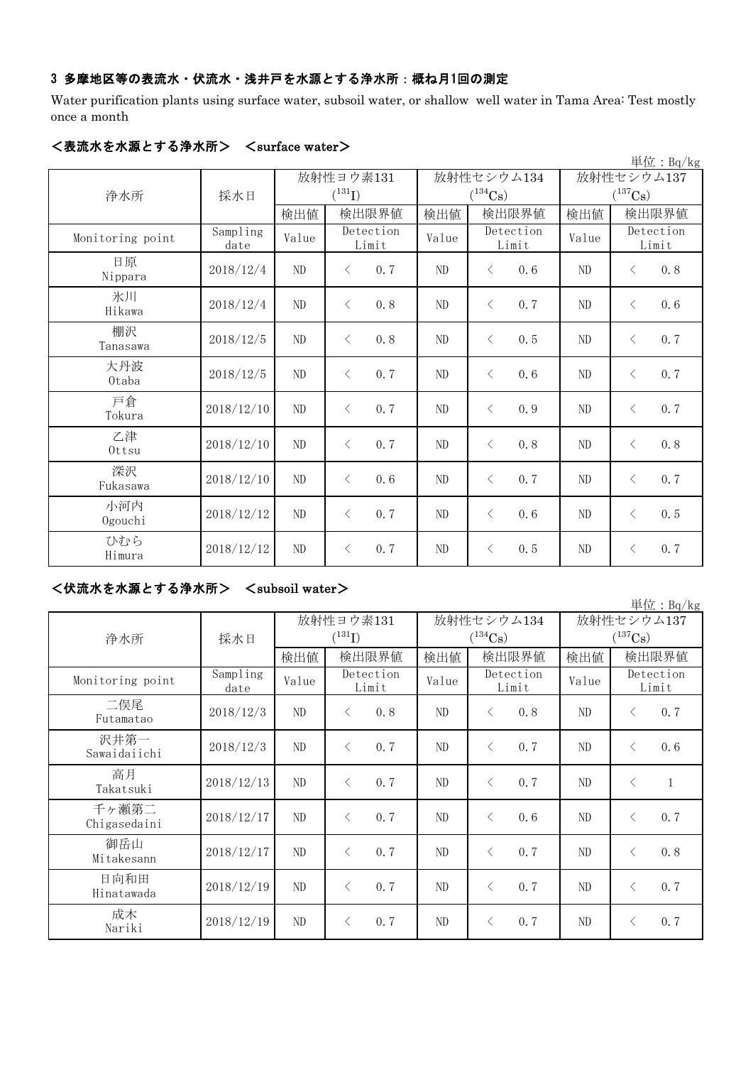#### 3 多摩地区等の表流水・伏流水・浅井戸を水源とする浄水所:概ね月1回の測定

Water purification plants using surface water, subsoil water, or shallow well water in Tama Area: Test mostly once a month

| 単位: Bq/kg        |                  |                |                    |          |                       |                |                       |  |  |  |
|------------------|------------------|----------------|--------------------|----------|-----------------------|----------------|-----------------------|--|--|--|
|                  |                  |                | 放射性ヨウ素131          |          | 放射性セシウム134            | 放射性セシウム137     |                       |  |  |  |
| 浄水所              | 採水日              |                | $(^{131}I)$        |          | $(^{134}\mathrm{Cs})$ |                | $(^{137}\mathrm{Cs})$ |  |  |  |
|                  |                  | 検出値            | 検出限界値              | 検出値      | 検出限界値                 | 検出値            | 検出限界値                 |  |  |  |
| Monitoring point | Sampling<br>date | Value          | Detection<br>Limit | Value    | Detection<br>Limit    | Value          | Detection<br>Limit    |  |  |  |
| 日原<br>Nippara    | 2018/12/4        | N <sub>D</sub> | 0.7<br>$\lt$       | ND       | 0, 6<br>$\lt$         | $\rm ND$       | 0.8<br>$\langle$      |  |  |  |
| 氷川<br>Hikawa     | 2018/12/4        | $\rm ND$       | $\langle$<br>0.8   | ND       | 0.7<br>$\langle$      | ND             | 0.6<br>$\langle$      |  |  |  |
| 棚沢<br>Tanasawa   | 2018/12/5        | $\rm ND$       | 0.8<br>$\langle$   | $\rm ND$ | 0.5<br>$\langle$      | $\rm ND$       | 0.7<br>$\lt$          |  |  |  |
| 大丹波<br>0taba     | 2018/12/5        | ND             | 0.7<br>$\langle$   | ND       | $\lt$<br>0.6          | ND             | 0.7<br>$\lt$          |  |  |  |
| 戸倉<br>Tokura     | 2018/12/10       | ND             | 0.7<br>$\lt$       | ND       | 0.9<br>$\lt$          | N <sub>D</sub> | 0.7<br>$\lt$          |  |  |  |
| 乙津<br>Ottsu      | 2018/12/10       | $\rm ND$       | 0.7<br>$\langle$   | ND       | 0.8<br>$\langle$      | ND             | 0.8<br>$\langle$      |  |  |  |
| 深沢<br>Fukasawa   | 2018/12/10       | ND             | 0.6<br>$\langle$   | ND       | 0.7<br>$\langle$      | ND             | 0.7<br>$\lt$          |  |  |  |
| 小河内<br>Ogouchi   | 2018/12/12       | ND             | 0.7<br>$\langle$   | ND       | $\lt$<br>0.6          | N <sub>D</sub> | 0.5<br>$\lt$          |  |  |  |
| ひむら<br>Himura    | 2018/12/12       | ND             | 0.7<br>$\langle$   | ND       | 0.5<br>$\langle$      | N <sub>D</sub> | 0.7<br>$\lt$          |  |  |  |

#### <表流水を水源とする浄水所> <surface water>

# <伏流水を水源とする浄水所> <subsoil water>

単位:Bq/kg 検出値 |検出値 |検出限界値 |検出値 Sampling date  $V$ alue  $V$ <sup>Detection</sup> Value  $V$ <sup>Detection</sup> Value 2018/12/3 ND < 0.8 ND < 0.8 ND < 0.7 2018/12/3 ND < 0.7 ND < 0.7 ND < 0.6 2018/12/13 ND < 0.7 ND < 0.7 ND < 1  $2018/12/17$  ND  $\leq 0.7$  ND  $\leq 0.6$  ND  $\leq 0.7$  $2018/12/17$  ND < 0.7 ND < 0.7 ND < 0.8  $2018/12/19$  ND < 0.7 ND < 0.7 ND < 0.7  $2018/12/19$  ND < 0.7 ND < 0.7 ND < 0.7 二俣尾 Futamatao 成木 Nariki 放射性ヨウ素131  $(^{131}\text{I})$ 高月 Takatsuki 日向和田 Hinatawada 放射性セシウム137  $(^{137}\mathrm{Cs})$ 放射性セシウム134  $(^{134}Cs)$ Detection Limit 検出限界値 |検出値 |検出限界値 Monitoring point Detection Limit Detection Limit 浄水所 | 採水日 沢井第一 Sawaidaiichi 千ヶ瀬第二 Chigasedaini 御岳山 Mitakesann